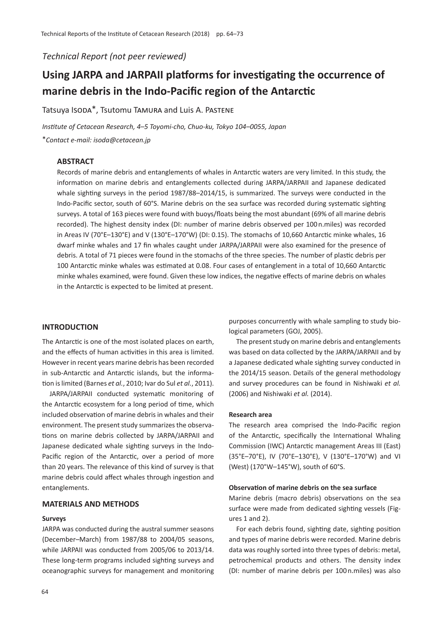*Technical Report (not peer reviewed)*

# **Using JARPA and JARPAII platforms for investigating the occurrence of marine debris in the Indo-Pacific region of the Antarctic**

Tatsuya Isoda\*, Tsutomu TAMURA and Luis A. PASTENE

*Institute of Cetacean Research, 4*–*5 Toyomi-cho, Chuo-ku, Tokyo 104*–*0055, Japan*

\**Contact e-mail: isoda@cetacean.jp*

# **ABSTRACT**

Records of marine debris and entanglements of whales in Antarctic waters are very limited. In this study, the information on marine debris and entanglements collected during JARPA/JARPAII and Japanese dedicated whale sighting surveys in the period 1987/88–2014/15, is summarized. The surveys were conducted in the Indo-Pacific sector, south of 60°S. Marine debris on the sea surface was recorded during systematic sighting surveys. A total of 163 pieces were found with buoys/floats being the most abundant (69% of all marine debris recorded). The highest density index (DI: number of marine debris observed per 100 n.miles) was recorded in Areas IV (70°E–130°E) and V (130°E–170°W) (DI: 0.15). The stomachs of 10,660 Antarctic minke whales, 16 dwarf minke whales and 17 fin whales caught under JARPA/JARPAII were also examined for the presence of debris. A total of 71 pieces were found in the stomachs of the three species. The number of plastic debris per 100 Antarctic minke whales was estimated at 0.08. Four cases of entanglement in a total of 10,660 Antarctic minke whales examined, were found. Given these low indices, the negative effects of marine debris on whales in the Antarctic is expected to be limited at present.

#### **INTRODUCTION**

The Antarctic is one of the most isolated places on earth, and the effects of human activities in this area is limited. However in recent years marine debris has been recorded in sub-Antarctic and Antarctic islands, but the information is limited (Barnes *et al.*, 2010; Ivar do Sul *et al.*, 2011).

JARPA/JARPAII conducted systematic monitoring of the Antarctic ecosystem for a long period of time, which included observation of marine debris in whales and their environment. The present study summarizes the observations on marine debris collected by JARPA/JARPAII and Japanese dedicated whale sighting surveys in the Indo-Pacific region of the Antarctic, over a period of more than 20 years. The relevance of this kind of survey is that marine debris could affect whales through ingestion and entanglements.

# **MATERIALS AND METHODS**

## **Surveys**

JARPA was conducted during the austral summer seasons (December–March) from 1987/88 to 2004/05 seasons, while JARPAII was conducted from 2005/06 to 2013/14. These long-term programs included sighting surveys and oceanographic surveys for management and monitoring purposes concurrently with whale sampling to study biological parameters (GOJ, 2005).

The present study on marine debris and entanglements was based on data collected by the JARPA/JARPAII and by a Japanese dedicated whale sighting survey conducted in the 2014/15 season. Details of the general methodology and survey procedures can be found in Nishiwaki *et al.* (2006) and Nishiwaki *et al.* (2014).

### **Research area**

The research area comprised the Indo-Pacific region of the Antarctic, specifically the International Whaling Commission (IWC) Antarctic management Areas III (East) (35°E–70°E), IV (70°E–130°E), V (130°E–170°W) and VI (West) (170°W–145°W), south of 60°S.

### **Observation of marine debris on the sea surface**

Marine debris (macro debris) observations on the sea surface were made from dedicated sighting vessels (Figures 1 and 2).

For each debris found, sighting date, sighting position and types of marine debris were recorded. Marine debris data was roughly sorted into three types of debris: metal, petrochemical products and others. The density index (DI: number of marine debris per 100 n.miles) was also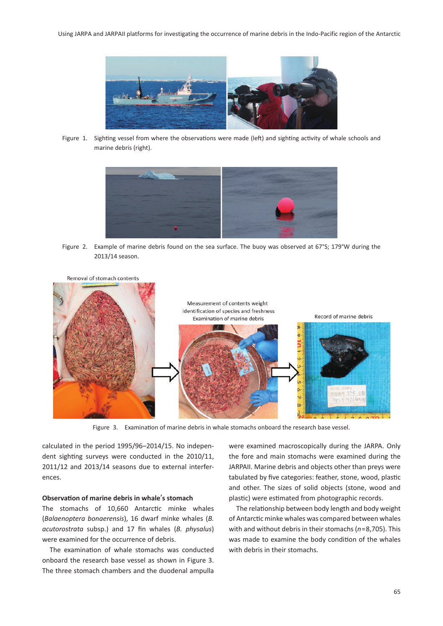

Figure 1. Sighting vessel from where the observations were made (left) and sighting activity of whale schools and marine debris (right).



Figure 2. Example of marine debris found on the sea surface. The buoy was observed at 67°S; 179°W during the 2013/14 season.



Figure 3. Examination of marine debris in whale stomachs onboard the research base vessel.

calculated in the period 1995/96–2014/15. No independent sighting surveys were conducted in the 2010/11, 2011/12 and 2013/14 seasons due to external interferences.

#### **Observation of marine debris in whale**'**s stomach**

The stomachs of 10,660 Antarctic minke whales (*Balaenoptera bonaerensis*), 16 dwarf minke whales (*B. acutorostrata* subsp.) and 17 fin whales (*B. physalus*) were examined for the occurrence of debris.

The examination of whale stomachs was conducted onboard the research base vessel as shown in Figure 3. The three stomach chambers and the duodenal ampulla

were examined macroscopically during the JARPA. Only the fore and main stomachs were examined during the JARPAII. Marine debris and objects other than preys were tabulated by five categories: feather, stone, wood, plastic and other. The sizes of solid objects (stone, wood and plastic) were estimated from photographic records.

The relationship between body length and body weight of Antarctic minke whales was compared between whales with and without debris in their stomachs (*n*=8,705). This was made to examine the body condition of the whales with debris in their stomachs.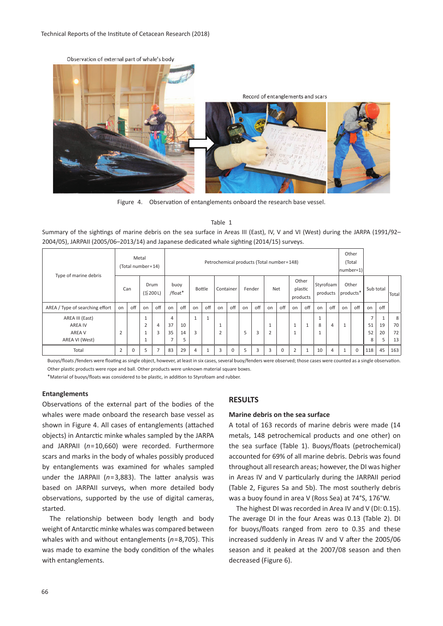

Figure 4. Observation of entanglements onboard the research base vessel.

Table 1 Summary of the sightings of marine debris on the sea surface in Areas III (East), IV, V and VI (West) during the JARPA (1991/92– 2004/05), JARPAII (2005/06–2013/14) and Japanese dedicated whale sighting (2014/15) surveys.

|                                 | Metal<br>(Total number=14) |             |                   | Petrochemical products (Total number=148) |                |                 |                |               |                |           |    |        |                | Other<br>(Total<br>$ number=1\rangle$ |              |                              |                     |                       |                |             |                |              |       |
|---------------------------------|----------------------------|-------------|-------------------|-------------------------------------------|----------------|-----------------|----------------|---------------|----------------|-----------|----|--------|----------------|---------------------------------------|--------------|------------------------------|---------------------|-----------------------|----------------|-------------|----------------|--------------|-------|
| Type of marine debris           |                            | Can         |                   | Drum<br>$(\leq 200 L)$                    |                | buoy<br>/float* |                | <b>Bottle</b> |                | Container |    | Fender |                | Net                                   |              | Other<br>plastic<br>products |                     | Styrofoam<br>products | Other          | products*   | Sub total      |              | Total |
| AREA / Type of searching effort | on                         | off         | on                | off                                       | on             | off             | on             | off           | on             | off       | on | off    | on             | off                                   | on           | off                          | on                  | off                   | on             | off         | on             | off          |       |
| AREA III (East)                 |                            |             | щ                 |                                           | 4              |                 | $\mathbf{1}$   | -4            |                |           |    |        |                |                                       |              |                              | $\overline{ }$<br>T |                       |                |             | $\overline{ }$ | $\mathbf{1}$ | 8     |
| <b>AREA IV</b>                  |                            |             | $\mathbf{\hat{}}$ | 4                                         | 37             | 10              |                |               |                |           |    |        | <b>A</b>       |                                       | $\mathbf{1}$ | 1                            | 8                   | 4                     | $\overline{ }$ |             | 51             | 19           | 70    |
| AREA V                          | $\overline{2}$             |             |                   | 3                                         | 35             | 14              | 3              |               | $\overline{2}$ |           | 5  | 3      | $\overline{2}$ |                                       | $\mathbf{1}$ |                              | T                   |                       |                |             | 52             | 20           | 72    |
| AREA VI (West)                  |                            |             |                   |                                           | $\overline{ }$ | 5               |                |               |                |           |    |        |                |                                       |              |                              |                     |                       |                |             | 8              | 5            | 13    |
| Total                           | $\overline{2}$             | $\mathbf 0$ | 5                 | 7                                         | 83             | 29              | $\overline{4}$ |               | 3              | $\Omega$  | 5  | 3      | 3              | $\mathbf 0$                           | 2            | 1                            | 10                  | 4                     | $\overline{a}$ | $\mathbf 0$ | 118            | 45           | 163   |

Buoys/floats /fenders were floating as single object, however, at least in six cases, several buoy/fenders were observed; those cases were counted as a single observation. Other plastic products were rope and ball. Other products were unknown material square boxes.

\*Material of buoys/floats was considered to be plastic, in addition to Styrofoam and rubber.

#### **Entanglements**

Observations of the external part of the bodies of the whales were made onboard the research base vessel as shown in Figure 4. All cases of entanglements (attached objects) in Antarctic minke whales sampled by the JARPA and JARPAII (*n*=10,660) were recorded. Furthermore scars and marks in the body of whales possibly produced by entanglements was examined for whales sampled under the JARPAII (*n*=3,883). The latter analysis was based on JARPAII surveys, when more detailed body observations, supported by the use of digital cameras, started.

The relationship between body length and body weight of Antarctic minke whales was compared between whales with and without entanglements (*n*=8,705). This was made to examine the body condition of the whales with entanglements.

## **RESULTS**

#### **Marine debris on the sea surface**

A total of 163 records of marine debris were made (14 metals, 148 petrochemical products and one other) on the sea surface (Table 1). Buoys/floats (petrochemical) accounted for 69% of all marine debris. Debris was found throughout all research areas; however, the DI was higher in Areas IV and V particularly during the JARPAII period (Table 2, Figures 5a and 5b). The most southerly debris was a buoy found in area V (Ross Sea) at 74°S, 176°W.

The highest DI was recorded in Area IV and V (DI: 0.15). The average DI in the four Areas was 0.13 (Table 2). DI for buoys/floats ranged from zero to 0.35 and these increased suddenly in Areas IV and V after the 2005/06 season and it peaked at the 2007/08 season and then decreased (Figure 6).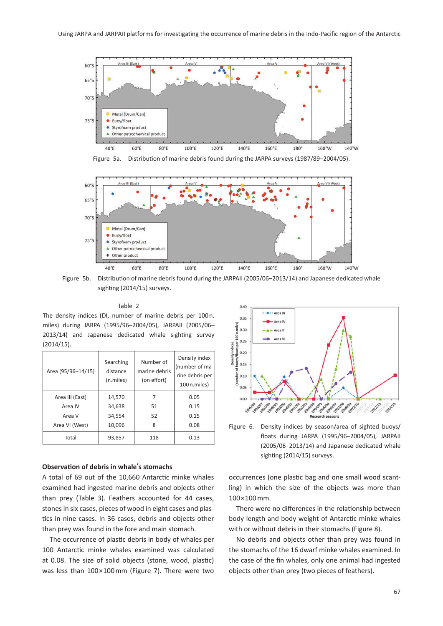

Figure 5a. Distribution of marine debris found during the JARPA surveys (1987/89–2004/05).



Figure 5b. Distribution of marine debris found during the JARPAII (2005/06–2013/14) and Japanese dedicated whale sighting (2014/15) surveys.

#### Table 2

The density indices (DI, number of marine debris per 100 n. miles) during JARPA (1995/96–2004/05), JARPAII (2005/06– 2013/14) and Japanese dedicated whale sighting survey (2014/15).

| Area (95/96-14/15) | Searching<br>distance<br>(n.miles) | Number of<br>marine debris<br>(on effort) | Density index<br>(number of ma-<br>rine debris per<br>100 n.miles) |  |  |  |
|--------------------|------------------------------------|-------------------------------------------|--------------------------------------------------------------------|--|--|--|
| Area III (East)    | 14,570                             |                                           | 0.05                                                               |  |  |  |
| Area IV            | 34,638                             | 51                                        | 0.15                                                               |  |  |  |
| Area V             | 34.554                             | 52                                        | 0.15                                                               |  |  |  |
| Area VI (West)     | 10,096                             | 8                                         | 0.08                                                               |  |  |  |
| Total              | 93,857                             | 118                                       | 0.13                                                               |  |  |  |

## **Observation of debris in whale**'**s stomachs**

A total of 69 out of the 10,660 Antarctic minke whales examined had ingested marine debris and objects other than prey (Table 3). Feathers accounted for 44 cases, stones in six cases, pieces of wood in eight cases and plastics in nine cases. In 36 cases, debris and objects other than prey was found in the fore and main stomach.

The occurrence of plastic debris in body of whales per 100 Antarctic minke whales examined was calculated at 0.08. The size of solid objects (stone, wood, plastic) was less than 100×100 mm (Figure 7). There were two



Figure 6. Density indices by season/area of sighted buoys/ floats during JARPA (1995/96–2004/05), JARPAII (2005/06–2013/14) and Japanese dedicated whale sighting (2014/15) surveys.

occurrences (one plastic bag and one small wood scantling) in which the size of the objects was more than 100×100 mm.

There were no differences in the relationship between body length and body weight of Antarctic minke whales with or without debris in their stomachs (Figure 8).

No debris and objects other than prey was found in the stomachs of the 16 dwarf minke whales examined. In the case of the fin whales, only one animal had ingested objects other than prey (two pieces of feathers).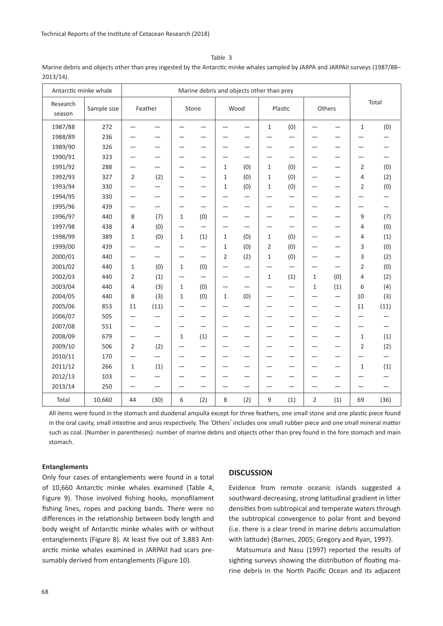Table 3

Marine debris and objects other than prey ingested by the Antarctic minke whales sampled by JARPA and JARPAII surveys (1987/88– 2013/14).

| Antarctic minke whale |             | Marine debris and objects other than prey |                          |                          |                          |              |                          |                          |                          |                |                          |                |      |  |
|-----------------------|-------------|-------------------------------------------|--------------------------|--------------------------|--------------------------|--------------|--------------------------|--------------------------|--------------------------|----------------|--------------------------|----------------|------|--|
| Research<br>season    | Sample size | Feather                                   |                          | Stone                    |                          | Wood         |                          | Plastic                  |                          | Others         |                          | Total          |      |  |
| 1987/88               | 272         |                                           |                          |                          |                          |              |                          | $\mathbf{1}$             | (0)                      |                | $\overline{\phantom{0}}$ | $\mathbf 1$    | (0)  |  |
| 1988/89               | 236         |                                           |                          |                          |                          |              |                          |                          |                          |                |                          |                |      |  |
| 1989/90               | 326         |                                           |                          |                          | —                        | -            |                          | —                        | —                        |                | -                        |                |      |  |
| 1990/91               | 323         |                                           |                          |                          |                          |              |                          | -                        |                          |                | -                        |                |      |  |
| 1991/92               | 288         |                                           |                          |                          |                          | 1            | (0)                      | $\mathbf{1}$             | (0)                      |                |                          | $\overline{2}$ | (0)  |  |
| 1992/93               | 327         | $\overline{2}$                            | (2)                      |                          | —                        | 1            | (0)                      | 1                        | (0)                      |                | -                        | 4              | (2)  |  |
| 1993/94               | 330         |                                           |                          |                          |                          | 1            | (0)                      | 1                        | (0)                      |                | —                        | $\overline{2}$ | (0)  |  |
| 1994/95               | 330         |                                           |                          |                          |                          |              |                          | —                        |                          |                |                          |                |      |  |
| 1995/96               | 439         |                                           | $\qquad \qquad$          | $\overline{\phantom{0}}$ | $\overline{\phantom{0}}$ | -            | —                        | —                        | —                        |                | —                        |                | —    |  |
| 1996/97               | 440         | 8                                         | (7)                      | 1                        | (0)                      | -            | -                        | $\overline{\phantom{0}}$ |                          |                | —                        | 9              | (7)  |  |
| 1997/98               | 438         | $\overline{4}$                            | (0)                      |                          |                          |              |                          | —                        | —                        |                |                          | 4              | (0)  |  |
| 1998/99               | 389         | 1                                         | (0)                      | 1                        | (1)                      | 1            | (0)                      | 1                        | (0)                      |                | —                        | 4              | (1)  |  |
| 1999/00               | 439         |                                           |                          |                          |                          | $\mathbf{1}$ | (0)                      | $\overline{2}$           | (0)                      |                | —                        | 3              | (0)  |  |
| 2000/01               | 440         | —                                         | $\overline{\phantom{0}}$ |                          | —                        | 2            | (2)                      | $\mathbf{1}$             | (0)                      |                | —                        | 3              | (2)  |  |
| 2001/02               | 440         | $\mathbf{1}$                              | (0)                      | 1                        | (0)                      | —            | —                        | $\overline{\phantom{0}}$ |                          |                | —                        | $\overline{2}$ | (0)  |  |
| 2002/03               | 440         | $\overline{2}$                            | (1)                      |                          |                          | —            | $\overline{\phantom{0}}$ | $\mathbf{1}$             | (1)                      | $\mathbf{1}$   | (0)                      | 4              | (2)  |  |
| 2003/04               | 440         | $\overline{4}$                            | (3)                      | $\mathbf{1}$             | (0)                      |              |                          |                          |                          | 1              | (1)                      | 6              | (4)  |  |
| 2004/05               | 440         | 8                                         | (3)                      | $\mathbf{1}$             | (0)                      | 1            | (0)                      | —                        | $\overline{\phantom{0}}$ |                | —                        | 10             | (3)  |  |
| 2005/06               | 853         | 11                                        | (11)                     |                          |                          |              |                          |                          |                          |                |                          | 11             | (11) |  |
| 2006/07               | 505         |                                           |                          |                          | —                        |              |                          | —                        | —                        |                |                          |                |      |  |
| 2007/08               | 551         |                                           |                          | —                        | —                        |              |                          | -                        | -                        |                | -                        |                |      |  |
| 2008/09               | 679         | -                                         | —                        | $\mathbf{1}$             | (1)                      | -            |                          | -                        | -                        |                | -                        | $\mathbf 1$    | (1)  |  |
| 2009/10               | 506         | $\overline{2}$                            | (2)                      |                          |                          |              |                          |                          |                          |                |                          | 2              | (2)  |  |
| 2010/11               | 170         |                                           |                          |                          | —                        | -            | —                        | —                        | -                        |                | -                        |                | —    |  |
| 2011/12               | 266         | $\mathbf{1}$                              | (1)                      |                          | —                        |              |                          | -                        |                          |                | -                        | $\mathbf{1}$   | (1)  |  |
| 2012/13               | 103         |                                           |                          |                          |                          |              |                          | —                        |                          |                | —                        |                |      |  |
| 2013/14               | 250         | —<br>—                                    | —                        | —                        | —                        | —            |                          | —                        | —                        |                | —                        |                |      |  |
| Total                 | 10,660      | 44                                        | (30)                     | 6                        | (2)                      | 8            | (2)                      | 9                        | (1)                      | $\overline{2}$ | (1)                      | 69             | (36) |  |

All items were found in the stomach and duodenal ampulla except for three feathers, one small stone and one plastic piece found in the oral cavity, small intestine and anus respectively. The ʻOthers' includes one small rubber piece and one small mineral matter such as coal. (Number in parentheses): number of marine debris and objects other than prey found in the fore stomach and main stomach.

## **Entanglements**

Only four cases of entanglements were found in a total of 10,660 Antarctic minke whales examined (Table 4, Figure 9). Those involved fishing hooks, monofilament fishing lines, ropes and packing bands. There were no differences in the relationship between body length and body weight of Antarctic minke whales with or without entanglements (Figure 8). At least five out of 3,883 Antarctic minke whales examined in JARPAII had scars presumably derived from entanglements (Figure 10).

## **DISCUSSION**

Evidence from remote oceanic islands suggested a southward-decreasing, strong latitudinal gradient in litter densities from subtropical and temperate waters through the subtropical convergence to polar front and beyond (i.e. there is a clear trend in marine debris accumulation with latitude) (Barnes, 2005; Gregory and Ryan, 1997).

Matsumura and Nasu (1997) reported the results of sighting surveys showing the distribution of floating marine debris in the North Pacific Ocean and its adjacent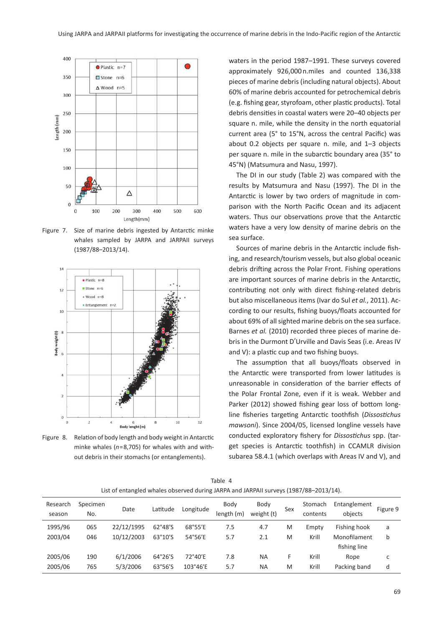

Figure 7. Size of marine debris ingested by Antarctic minke whales sampled by JARPA and JARPAII surveys (1987/88–2013/14).



Figure 8. Relation of body length and body weight in Antarctic minke whales (*n*=8,705) for whales with and without debris in their stomachs (or entanglements).

waters in the period 1987–1991. These surveys covered approximately 926,000 n.miles and counted 136,338 pieces of marine debris (including natural objects). About 60% of marine debris accounted for petrochemical debris (e.g. fishing gear, styrofoam, other plastic products). Total debris densities in coastal waters were 20–40 objects per square n. mile, while the density in the north equatorial current area (5° to 15°N, across the central Pacific) was about 0.2 objects per square n. mile, and 1–3 objects per square n. mile in the subarctic boundary area (35° to 45°N) (Matsumura and Nasu, 1997).

The DI in our study (Table 2) was compared with the results by Matsumura and Nasu (1997). The DI in the Antarctic is lower by two orders of magnitude in comparison with the North Pacific Ocean and its adjacent waters. Thus our observations prove that the Antarctic waters have a very low density of marine debris on the sea surface.

Sources of marine debris in the Antarctic include fishing, and research/tourism vessels, but also global oceanic debris drifting across the Polar Front. Fishing operations are important sources of marine debris in the Antarctic, contributing not only with direct fishing-related debris but also miscellaneous items (Ivar do Sul *et al.*, 2011). According to our results, fishing buoys/floats accounted for about 69% of all sighted marine debris on the sea surface. Barnes *et al.* (2010) recorded three pieces of marine debris in the Durmont D'Urville and Davis Seas (i.e. Areas IV and V): a plastic cup and two fishing buoys.

The assumption that all buoys/floats observed in the Antarctic were transported from lower latitudes is unreasonable in consideration of the barrier effects of the Polar Frontal Zone, even if it is weak. Webber and Parker (2012) showed fishing gear loss of bottom longline fisheries targeting Antarctic toothfish (*Dissostichus mawsoni*). Since 2004/05, licensed longline vessels have conducted exploratory fishery for *Dissostichus* spp. (target species is Antarctic toothfish) in CCAMLR division subarea 58.4.1 (which overlaps with Areas IV and V), and

|                    | $\frac{1}{2}$ of children middle objective a during <i>it</i> that that it and it can experience to the strip |            |          |           |                    |                    |     |                     |                              |          |  |  |  |
|--------------------|---------------------------------------------------------------------------------------------------------------|------------|----------|-----------|--------------------|--------------------|-----|---------------------|------------------------------|----------|--|--|--|
| Research<br>season | Specimen<br>No.                                                                                               | Date       | Latitude | Longitude | Body<br>length (m) | Body<br>weight (t) | Sex | Stomach<br>contents | Entanglement<br>objects      | Figure 9 |  |  |  |
| 1995/96            | 065                                                                                                           | 22/12/1995 | 62°48'S  | 68°55'E   | 7.5                | 4.7                | M   | Empty               | Fishing hook                 | a        |  |  |  |
| 2003/04            | 046                                                                                                           | 10/12/2003 | 63°10'S  | 54°56'E   | 5.7                | 2.1                | M   | Krill               | Monofilament<br>fishing line | b        |  |  |  |
| 2005/06            | 190                                                                                                           | 6/1/2006   | 64°26'S  | 72°40'E   | 7.8                | <b>NA</b>          | F   | Krill               | Rope                         | c        |  |  |  |
| 2005/06            | 765                                                                                                           | 5/3/2006   | 63°56'S  | 103°46'E  | 5.7                | ΝA                 | M   | Krill               | Packing band                 | d        |  |  |  |

Table 4 List of entangled whales observed during JARPA and JARPAII surveys (1987/88–2013/14).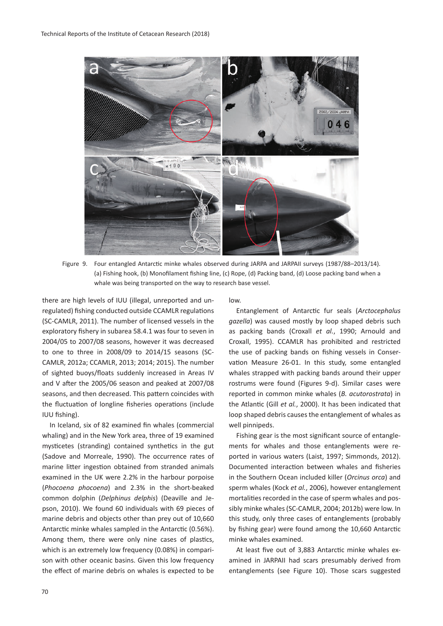

Figure 9. Four entangled Antarctic minke whales observed during JARPA and JARPAII surveys (1987/88–2013/14). (a) Fishing hook, (b) Monofilament fishing line, (c) Rope, (d) Packing band, (d) Loose packing band when a whale was being transported on the way to research base vessel.

there are high levels of IUU (illegal, unreported and unregulated) fishing conducted outside CCAMLR regulations (SC-CAMLR, 2011). The number of licensed vessels in the exploratory fishery in subarea 58.4.1 was four to seven in 2004/05 to 2007/08 seasons, however it was decreased to one to three in 2008/09 to 2014/15 seasons (SC-CAMLR, 2012a; CCAMLR, 2013; 2014; 2015). The number of sighted buoys/floats suddenly increased in Areas IV and V after the 2005/06 season and peaked at 2007/08 seasons, and then decreased. This pattern coincides with the fluctuation of longline fisheries operations (include IUU fishing).

In Iceland, six of 82 examined fin whales (commercial whaling) and in the New York area, three of 19 examined mysticetes (stranding) contained synthetics in the gut (Sadove and Morreale, 1990). The occurrence rates of marine litter ingestion obtained from stranded animals examined in the UK were 2.2% in the harbour porpoise (*Phocoena phocoena*) and 2.3% in the short-beaked common dolphin (*Delphinus delphis*) (Deaville and Jepson, 2010). We found 60 individuals with 69 pieces of marine debris and objects other than prey out of 10,660 Antarctic minke whales sampled in the Antarctic (0.56%). Among them, there were only nine cases of plastics, which is an extremely low frequency (0.08%) in comparison with other oceanic basins. Given this low frequency the effect of marine debris on whales is expected to be low.

Entanglement of Antarctic fur seals (*Arctocephalus gazella*) was caused mostly by loop shaped debris such as packing bands (Croxall *et al.*, 1990; Arnould and Croxall, 1995). CCAMLR has prohibited and restricted the use of packing bands on fishing vessels in Conservation Measure 26-01. In this study, some entangled whales strapped with packing bands around their upper rostrums were found (Figures 9-d). Similar cases were reported in common minke whales (*B. acutorostrata*) in the Atlantic (Gill *et al.*, 2000). It has been indicated that loop shaped debris causes the entanglement of whales as well pinnipeds.

Fishing gear is the most significant source of entanglements for whales and those entanglements were reported in various waters (Laist, 1997; Simmonds, 2012). Documented interaction between whales and fisheries in the Southern Ocean included killer (*Orcinus orca*) and sperm whales (Kock *et al.*, 2006), however entanglement mortalities recorded in the case of sperm whales and possibly minke whales (SC-CAMLR, 2004; 2012b) were low. In this study, only three cases of entanglements (probably by fishing gear) were found among the 10,660 Antarctic minke whales examined.

At least five out of 3,883 Antarctic minke whales examined in JARPAII had scars presumably derived from entanglements (see Figure 10). Those scars suggested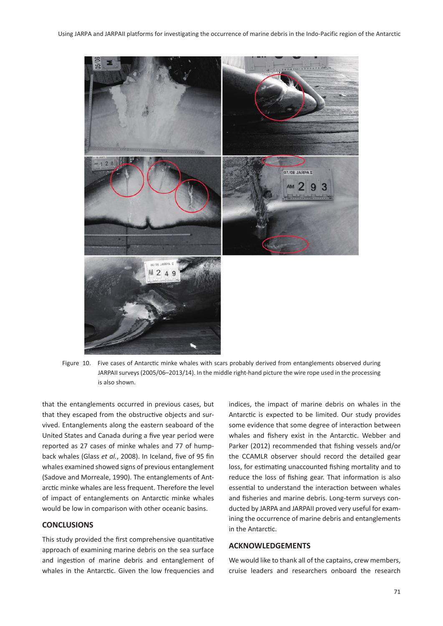

Figure 10. Five cases of Antarctic minke whales with scars probably derived from entanglements observed during JARPAII surveys (2005/06–2013/14). In the middle right-hand picture the wire rope used in the processing is also shown.

that the entanglements occurred in previous cases, but that they escaped from the obstructive objects and survived. Entanglements along the eastern seaboard of the United States and Canada during a five year period were reported as 27 cases of minke whales and 77 of humpback whales (Glass *et al.*, 2008). In Iceland, five of 95 fin whales examined showed signs of previous entanglement (Sadove and Morreale, 1990). The entanglements of Antarctic minke whales are less frequent. Therefore the level of impact of entanglements on Antarctic minke whales would be low in comparison with other oceanic basins.

# **CONCLUSIONS**

This study provided the first comprehensive quantitative approach of examining marine debris on the sea surface and ingestion of marine debris and entanglement of whales in the Antarctic. Given the low frequencies and

indices, the impact of marine debris on whales in the Antarctic is expected to be limited. Our study provides some evidence that some degree of interaction between whales and fishery exist in the Antarctic. Webber and Parker (2012) recommended that fishing vessels and/or the CCAMLR observer should record the detailed gear loss, for estimating unaccounted fishing mortality and to reduce the loss of fishing gear. That information is also essential to understand the interaction between whales and fisheries and marine debris. Long-term surveys conducted by JARPA and JARPAII proved very useful for examining the occurrence of marine debris and entanglements in the Antarctic.

# **ACKNOWLEDGEMENTS**

We would like to thank all of the captains, crew members, cruise leaders and researchers onboard the research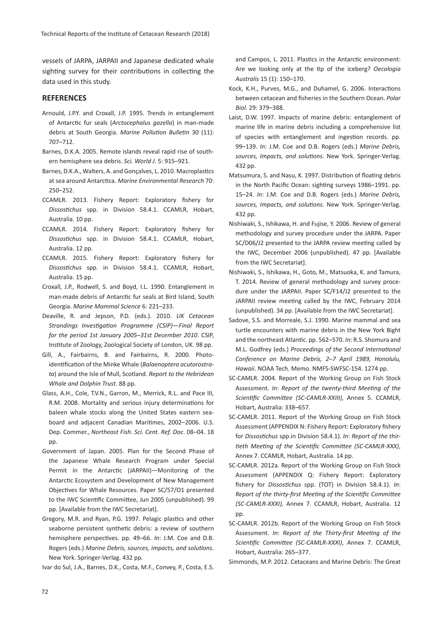vessels of JARPA, JARPAII and Japanese dedicated whale sighting survey for their contributions in collecting the data used in this study.

# **REFERENCES**

- Arnould, J.P.Y. and Croxall, J.P. 1995. Trends in entanglement of Antarctic fur seals (*Arctocephalus gazella*) in man-made debris at South Georgia. *Marine Pollution Bulletin* 30 (11): 707–712.
- Barnes, D.K.A. 2005. Remote islands reveal rapid rise of southern hemisphere sea debris. *Sci. World J*. 5: 915–921.
- Barnes, D.K.A., Walters, A. and Gonçalves, L. 2010. Macroplastics at sea around Antarctica. *Marine Environmental Research* 70: 250–252.
- CCAMLR. 2013. Fishery Report: Exploratory fishery for *Dissostichus* spp. in Division 58.4.1. CCAMLR, Hobart, Australia. 10 pp.
- CCAMLR. 2014. Fishery Report: Exploratory fishery for *Dissostichus* spp. in Division 58.4.1. CCAMLR, Hobart, Australia. 12 pp.
- CCAMLR. 2015. Fishery Report: Exploratory fishery for *Dissostichus* spp. in Division 58.4.1. CCAMLR, Hobart, Australia. 15 pp.
- Croxall, J.P., Rodwell, S. and Boyd, I.L. 1990. Entanglement in man-made debris of Antarctic fur seals at Bird Island, South Georgia. *Marine Mammal Science* 6: 221–233.
- Deaville, R. and Jepson, P.D. (eds.). 2010. *UK Cetacean Strandings Investigation Programme (CSIP)*—*Final Report for the period 1st January 2005*–*31st December 2010*. CSIP, Institute of Zoology, Zoological Society of London, UK. 98 pp.
- Gill, A., Fairbairns, B. and Fairbairns, R. 2000. Photoidentification of the Minke Whale (*Balaenoptera acutorostrata*) around the Isle of Mull, Scotland. *Report to the Hebridean Whale and Dolphin Trust.* 88 pp.
- Glass, A.H., Cole, T.V.N., Garron, M., Merrick, R.L. and Pace III, R.M. 2008. Mortality and serious injury determinations for baleen whale stocks along the United States eastern seaboard and adjacent Canadian Maritimes, 2002–2006. U.S. Dep. Commer., *Northeast Fish. Sci. Cent. Ref. Doc*. 08–04. 18 pp.
- Government of Japan. 2005. Plan for the Second Phase of the Japanese Whale Research Program under Special Permit in the Antarctic (JARPAII)—Monitoring of the Antarctic Ecosystem and Development of New Management Objectives for Whale Resources. Paper SC/57/O1 presented to the IWC Scientific Committee, Jun 2005 (unpublished). 99 pp. [Available from the IWC Secretariat].
- Gregory, M.R. and Ryan, P.G. 1997. Pelagic plastics and other seaborne persistent synthetic debris: a review of southern hemisphere perspectives. pp. 49–66. *In*: J.M. Coe and D.B. Rogers (eds.) *Marine Debris, sources, impacts, and solutions*. New York. Springer-Verlag. 432 pp.

Ivar do Sul, J.A., Barnes, D.K., Costa, M.F., Convey, P., Costa, E.S.

and Campos, L. 2011. Plastics in the Antarctic environment: Are we looking only at the tip of the iceberg? *Oecologia Australis* 15 (1): 150–170.

- Kock, K.H., Purves, M.G., and Duhamel, G. 2006. Interactions between cetacean and fisheries in the Southern Ocean. *Polar Biol.* 29: 379–388.
- Laist, D.W. 1997. Impacts of marine debris: entanglement of marine life in marine debris including a comprehensive list of species with entanglement and ingestion records. pp. 99–139. *In*: J.M. Coe and D.B. Rogers (eds.) *Marine Debris, sources, Impacts, and solutions*. New York. Springer-Verlag. 432 pp.
- Matsumura, S. and Nasu, K. 1997. Distribution of floating debris in the North Pacific Ocean: sighting surveys 1986–1991. pp. 15–24. *In*: J.M. Coe and D.B. Rogers (eds.) *Marine Debris, sources, Impacts, and solutions*. New York. Springer-Verlag. 432 pp.
- Nishiwaki, S., Ishikawa, H. and Fujise, Y. 2006. Review of general methodology and survey procedure under the JARPA. Paper SC/D06/J2 presented to the JARPA review meeting called by the IWC, December 2006 (unpublished). 47 pp. [Available from the IWC Secretariat].
- Nishiwaki, S., Ishikawa, H., Goto, M., Matsuoka, K. and Tamura, T. 2014. Review of general methodology and survey procedure under the JARPAII. Paper SC/F14/J2 presented to the JARPAII review meeting called by the IWC, February 2014 (unpublished). 34 pp. [Available from the IWC Secretariat].
- Sadove, S.S. and Morreale, S.J. 1990. Marine mammal and sea turtle encounters with marine debris in the New York Bight and the northeast Atlantic. pp. 562–570. *In*: R.S. Shomura and M.L. Godfrey (eds.) *Proceedings of the Second International Conference on Marine Debris, 2*–*7 April 1989, Honolulu, Hawaii*. NOAA Tech. Memo. NMFS-SWFSC-154. 1274 pp.
- SC-CAMLR. 2004. Report of the Working Group on Fish Stock Assessment. *In*: *Report of the twenty-third Meeting of the Scientific Committee (SC-CAMLR-XXIII)*, Annex 5. CCAMLR, Hobart, Australia: 338–657.
- SC-CAMLR. 2011. Report of the Working Group on Fish Stock Assessment (APPENDIX N: Fishery Report: Exploratory fishery for *Dissostichus* spp.in Division 58.4.1). *In*: *Report of the thirtieth Meeting of the Scientific Committee (SC-CAMLR-XXX)*, Annex 7. CCAMLR, Hobart, Australia. 14 pp.
- SC-CAMLR. 2012a. Report of the Working Group on Fish Stock Assessment (APPENDIX Q: Fishery Report: Exploratory fishery for *Dissostichus* spp. (TOT) in Division 58.4.1). *In*: *Report of the thirty-first Meeting of the Scientific Committee (SC-CAMLR-XXXI)*, Annex 7. CCAMLR, Hobart, Australia. 12 pp.
- SC-CAMLR. 2012b. Report of the Working Group on Fish Stock Assessment. *In*: *Report of the Thirty-first Meeting of the Scientific Committee (SC-CAMLR-XXXI)*, Annex 7. CCAMLR, Hobart, Australia: 265–377.
- Simmonds, M.P. 2012. Cetaceans and Marine Debris: The Great